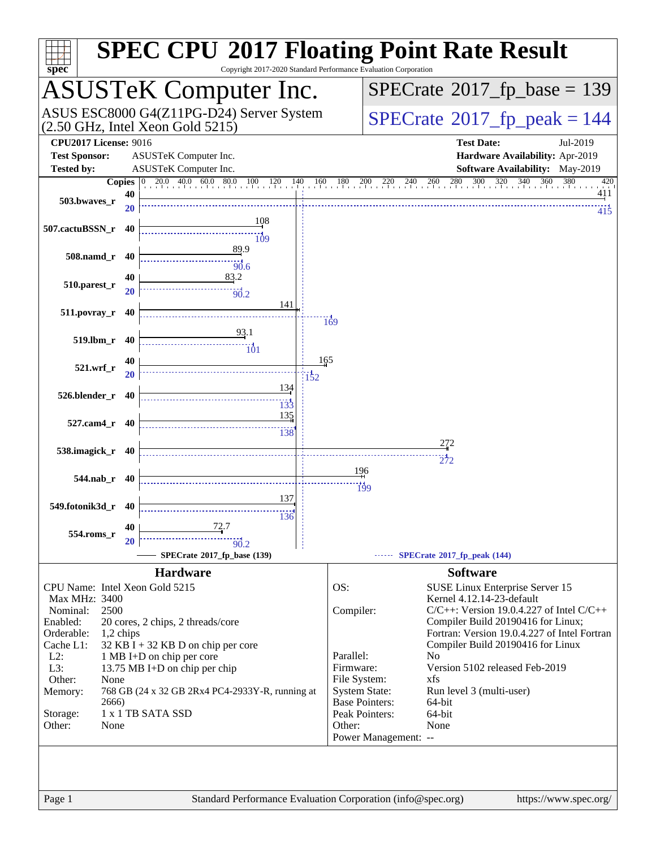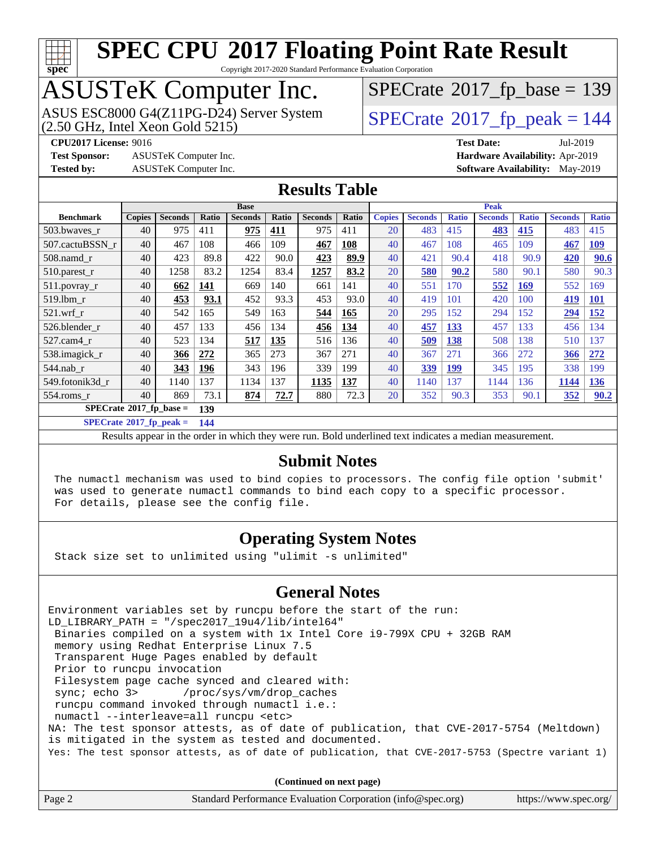

Copyright 2017-2020 Standard Performance Evaluation Corporation

# ASUSTeK Computer Inc.<br>ASUS ESC8000 G4(Z11PG-D24) Server System

(2.50 GHz, Intel Xeon Gold 5215)

 $SPECTate$ <sup>®</sup>[2017\\_fp\\_base =](http://www.spec.org/auto/cpu2017/Docs/result-fields.html#SPECrate2017fpbase) 139

**[Test Sponsor:](http://www.spec.org/auto/cpu2017/Docs/result-fields.html#TestSponsor)** ASUSTeK Computer Inc. **[Hardware Availability:](http://www.spec.org/auto/cpu2017/Docs/result-fields.html#HardwareAvailability)** Apr-2019

 $SPECTate<sup>®</sup>2017<sub>fr</sub>peak =  $144$$ **[CPU2017 License:](http://www.spec.org/auto/cpu2017/Docs/result-fields.html#CPU2017License)** 9016 **[Test Date:](http://www.spec.org/auto/cpu2017/Docs/result-fields.html#TestDate)** Jul-2019

**[Tested by:](http://www.spec.org/auto/cpu2017/Docs/result-fields.html#Testedby)** ASUSTeK Computer Inc. **[Software Availability:](http://www.spec.org/auto/cpu2017/Docs/result-fields.html#SoftwareAvailability)** May-2019

### **[Results Table](http://www.spec.org/auto/cpu2017/Docs/result-fields.html#ResultsTable)**

|                                  | <b>Base</b>   |                |            |                | <b>Peak</b> |                |            |               |                |              |                |              |                |              |
|----------------------------------|---------------|----------------|------------|----------------|-------------|----------------|------------|---------------|----------------|--------------|----------------|--------------|----------------|--------------|
| <b>Benchmark</b>                 | <b>Copies</b> | <b>Seconds</b> | Ratio      | <b>Seconds</b> | Ratio       | <b>Seconds</b> | Ratio      | <b>Copies</b> | <b>Seconds</b> | <b>Ratio</b> | <b>Seconds</b> | <b>Ratio</b> | <b>Seconds</b> | <b>Ratio</b> |
| 503.bwayes r                     | 40            | 975            | 411        | 975            | 411         | 975            | 411        | 20            | 483            | 415          | 483            | 415          | 483            | 415          |
| 507.cactuBSSN r                  | 40            | 467            | 108        | 466            | 109         | 467            | 108        | 40            | 467            | 108          | 465            | 109          | 467            | <u>109</u>   |
| $508$ .namd $r$                  | 40            | 423            | 89.8       | 422            | 90.0        | 423            | 89.9       | 40            | 421            | 90.4         | 418            | 90.9         | 420            | 90.6         |
| 510.parest_r                     | 40            | 1258           | 83.2       | 1254           | 83.4        | 1257           | 83.2       | 20            | 580            | 90.2         | 580            | 90.1         | 580            | 90.3         |
| 511.povray_r                     | 40            | 662            | <u>141</u> | 669            | 140         | 661            | 141        | 40            | 551            | 170          | 552            | <u>169</u>   | 552            | 169          |
| 519.1bm r                        | 40            | 453            | 93.1       | 452            | 93.3        | 453            | 93.0       | 40            | 419            | 101          | 420            | 100          | 419            | <b>101</b>   |
| $521$ .wrf r                     | 40            | 542            | 165        | 549            | 163         | 544            | 165        | 20            | 295            | 152          | 294            | 152          | 294            | <u>152</u>   |
| 526.blender r                    | 40            | 457            | 133        | 456            | 134         | 456            | <u>134</u> | 40            | 457            | <b>133</b>   | 457            | 133          | 456            | 134          |
| 527.cam4 r                       | 40            | 523            | 134        | 517            | 135         | 516            | 136        | 40            | 509            | 138          | 508            | 138          | 510            | 137          |
| 538.imagick_r                    | 40            | 366            | 272        | 365            | 273         | 367            | 271        | 40            | 367            | 271          | 366            | 272          | 366            | 272          |
| $544$ .nab_r                     | 40            | 343            | 196        | 343            | 196         | 339            | 199        | 40            | 339            | <b>199</b>   | 345            | 195          | 338            | 199          |
| 549.fotonik3d r                  | 40            | 1140           | 137        | 1134           | 137         | 1135           | 137        | 40            | 1140           | 137          | 1144           | 136          | 1144           | 136          |
| $554$ .roms r                    | 40            | 869            | 73.1       | 874            | 72.7        | 880            | 72.3       | 20            | 352            | 90.3         | 353            | 90.1         | 352            | 90.2         |
| $SPECrate^{\circ}2017$ fp base = |               |                | 139        |                |             |                |            |               |                |              |                |              |                |              |

**[SPECrate](http://www.spec.org/auto/cpu2017/Docs/result-fields.html#SPECrate2017fppeak)[2017\\_fp\\_peak =](http://www.spec.org/auto/cpu2017/Docs/result-fields.html#SPECrate2017fppeak) 144**

Results appear in the [order in which they were run.](http://www.spec.org/auto/cpu2017/Docs/result-fields.html#RunOrder) Bold underlined text [indicates a median measurement.](http://www.spec.org/auto/cpu2017/Docs/result-fields.html#Median)

### **[Submit Notes](http://www.spec.org/auto/cpu2017/Docs/result-fields.html#SubmitNotes)**

 The numactl mechanism was used to bind copies to processors. The config file option 'submit' was used to generate numactl commands to bind each copy to a specific processor. For details, please see the config file.

### **[Operating System Notes](http://www.spec.org/auto/cpu2017/Docs/result-fields.html#OperatingSystemNotes)**

Stack size set to unlimited using "ulimit -s unlimited"

### **[General Notes](http://www.spec.org/auto/cpu2017/Docs/result-fields.html#GeneralNotes)**

Environment variables set by runcpu before the start of the run: LD\_LIBRARY\_PATH = "/spec2017\_19u4/lib/intel64" Binaries compiled on a system with 1x Intel Core i9-799X CPU + 32GB RAM memory using Redhat Enterprise Linux 7.5 Transparent Huge Pages enabled by default Prior to runcpu invocation Filesystem page cache synced and cleared with: sync; echo 3> /proc/sys/vm/drop\_caches runcpu command invoked through numactl i.e.: numactl --interleave=all runcpu <etc> NA: The test sponsor attests, as of date of publication, that CVE-2017-5754 (Meltdown) is mitigated in the system as tested and documented. Yes: The test sponsor attests, as of date of publication, that CVE-2017-5753 (Spectre variant 1)

**(Continued on next page)**

| Standard Performance Evaluation Corporation (info@spec.org)<br>Page 2 | https://www.spec.org/ |
|-----------------------------------------------------------------------|-----------------------|
|-----------------------------------------------------------------------|-----------------------|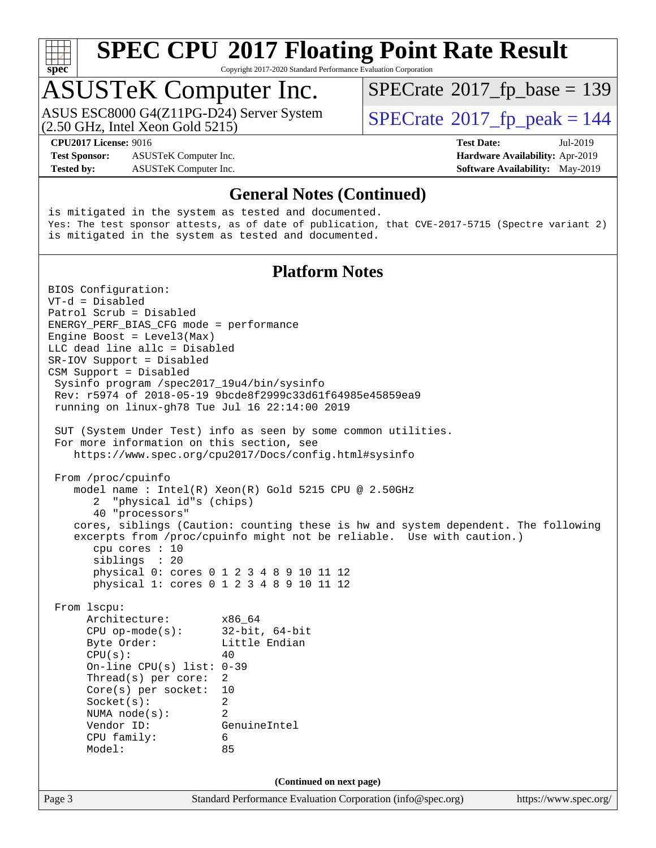

Copyright 2017-2020 Standard Performance Evaluation Corporation

## ASUSTeK Computer Inc.

(2.50 GHz, Intel Xeon Gold 5215) ASUS ESC8000 G4(Z11PG-D24) Server System  $\vert$  [SPECrate](http://www.spec.org/auto/cpu2017/Docs/result-fields.html#SPECrate2017fppeak)®[2017\\_fp\\_peak = 1](http://www.spec.org/auto/cpu2017/Docs/result-fields.html#SPECrate2017fppeak)44

 $SPECTate$ <sup>®</sup>[2017\\_fp\\_base =](http://www.spec.org/auto/cpu2017/Docs/result-fields.html#SPECrate2017fpbase) 139

**[Test Sponsor:](http://www.spec.org/auto/cpu2017/Docs/result-fields.html#TestSponsor)** ASUSTeK Computer Inc. **[Hardware Availability:](http://www.spec.org/auto/cpu2017/Docs/result-fields.html#HardwareAvailability)** Apr-2019 **[Tested by:](http://www.spec.org/auto/cpu2017/Docs/result-fields.html#Testedby)** ASUSTeK Computer Inc. **[Software Availability:](http://www.spec.org/auto/cpu2017/Docs/result-fields.html#SoftwareAvailability)** May-2019

**[CPU2017 License:](http://www.spec.org/auto/cpu2017/Docs/result-fields.html#CPU2017License)** 9016 **[Test Date:](http://www.spec.org/auto/cpu2017/Docs/result-fields.html#TestDate)** Jul-2019

**[General Notes \(Continued\)](http://www.spec.org/auto/cpu2017/Docs/result-fields.html#GeneralNotes)**

is mitigated in the system as tested and documented. Yes: The test sponsor attests, as of date of publication, that CVE-2017-5715 (Spectre variant 2) is mitigated in the system as tested and documented.

### **[Platform Notes](http://www.spec.org/auto/cpu2017/Docs/result-fields.html#PlatformNotes)**

Page 3 Standard Performance Evaluation Corporation [\(info@spec.org\)](mailto:info@spec.org) <https://www.spec.org/> BIOS Configuration: VT-d = Disabled Patrol Scrub = Disabled ENERGY\_PERF\_BIAS\_CFG mode = performance Engine Boost = Level3(Max) LLC dead line allc = Disabled SR-IOV Support = Disabled CSM Support = Disabled Sysinfo program /spec2017\_19u4/bin/sysinfo Rev: r5974 of 2018-05-19 9bcde8f2999c33d61f64985e45859ea9 running on linux-gh78 Tue Jul 16 22:14:00 2019 SUT (System Under Test) info as seen by some common utilities. For more information on this section, see <https://www.spec.org/cpu2017/Docs/config.html#sysinfo> From /proc/cpuinfo model name : Intel(R) Xeon(R) Gold 5215 CPU @ 2.50GHz 2 "physical id"s (chips) 40 "processors" cores, siblings (Caution: counting these is hw and system dependent. The following excerpts from /proc/cpuinfo might not be reliable. Use with caution.) cpu cores : 10 siblings : 20 physical 0: cores 0 1 2 3 4 8 9 10 11 12 physical 1: cores 0 1 2 3 4 8 9 10 11 12 From lscpu: Architecture: x86\_64 CPU op-mode(s): 32-bit, 64-bit Byte Order: Little Endian  $CPU(s):$  40 On-line CPU(s) list: 0-39 Thread(s) per core: 2 Core(s) per socket: 10 Socket(s): 2 NUMA node(s): 2 Vendor ID: GenuineIntel CPU family: 6 Model: 85 **(Continued on next page)**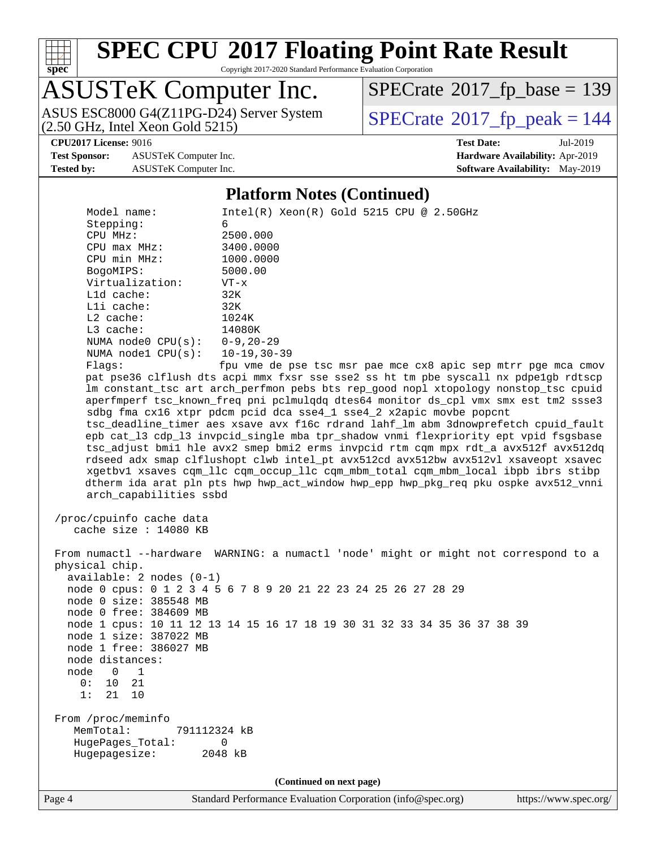

Copyright 2017-2020 Standard Performance Evaluation Corporation

## ASUSTeK Computer Inc.

(2.50 GHz, Intel Xeon Gold 5215)

 $SPECrate$ <sup>®</sup>[2017\\_fp\\_base =](http://www.spec.org/auto/cpu2017/Docs/result-fields.html#SPECrate2017fpbase) 139

**[Test Sponsor:](http://www.spec.org/auto/cpu2017/Docs/result-fields.html#TestSponsor)** ASUSTeK Computer Inc. **[Hardware Availability:](http://www.spec.org/auto/cpu2017/Docs/result-fields.html#HardwareAvailability)** Apr-2019

ASUS ESC8000 G4(Z11PG-D24) Server System  $\boxed{\text{SPECrate}^{\circ}2017\_fp\_peak = 144}$  $\boxed{\text{SPECrate}^{\circ}2017\_fp\_peak = 144}$  $\boxed{\text{SPECrate}^{\circ}2017\_fp\_peak = 144}$ 

**[CPU2017 License:](http://www.spec.org/auto/cpu2017/Docs/result-fields.html#CPU2017License)** 9016 **[Test Date:](http://www.spec.org/auto/cpu2017/Docs/result-fields.html#TestDate)** Jul-2019 **[Tested by:](http://www.spec.org/auto/cpu2017/Docs/result-fields.html#Testedby)** ASUSTeK Computer Inc. **[Software Availability:](http://www.spec.org/auto/cpu2017/Docs/result-fields.html#SoftwareAvailability)** May-2019

### **[Platform Notes \(Continued\)](http://www.spec.org/auto/cpu2017/Docs/result-fields.html#PlatformNotes)**

| Model name:                          | $Intel(R) Xeon(R) Gold 5215 CPU @ 2.50GHz$                                                                                                                |
|--------------------------------------|-----------------------------------------------------------------------------------------------------------------------------------------------------------|
| Stepping:                            | 6                                                                                                                                                         |
| CPU MHz:                             | 2500.000                                                                                                                                                  |
| $CPU$ $max$ $MHz$ :                  | 3400.0000                                                                                                                                                 |
| CPU min MHz:                         | 1000.0000                                                                                                                                                 |
| BogoMIPS:                            | 5000.00                                                                                                                                                   |
| Virtualization:                      | $VT - x$                                                                                                                                                  |
| Lld cache:                           | 32K                                                                                                                                                       |
| Lli cache:                           | 32K                                                                                                                                                       |
| L2 cache:                            | 1024K                                                                                                                                                     |
| $L3$ cache:                          | 14080K                                                                                                                                                    |
| NUMA node0 $CPU(s): 0-9, 20-29$      |                                                                                                                                                           |
| NUMA $node1$ $CPU(s):$               | 10-19,30-39                                                                                                                                               |
| Flaqs:                               | fpu vme de pse tsc msr pae mce cx8 apic sep mtrr pge mca cmov                                                                                             |
|                                      | pat pse36 clflush dts acpi mmx fxsr sse sse2 ss ht tm pbe syscall nx pdpelgb rdtscp                                                                       |
|                                      | lm constant_tsc art arch_perfmon pebs bts rep_good nopl xtopology nonstop_tsc cpuid                                                                       |
|                                      | aperfmperf tsc_known_freq pni pclmulqdq dtes64 monitor ds_cpl vmx smx est tm2 ssse3<br>sdbg fma cx16 xtpr pdcm pcid dca sse4_1 sse4_2 x2apic movbe popcnt |
|                                      | tsc_deadline_timer aes xsave avx f16c rdrand lahf_lm abm 3dnowprefetch cpuid_fault                                                                        |
|                                      | epb cat_13 cdp_13 invpcid_single mba tpr_shadow vnmi flexpriority ept vpid fsgsbase                                                                       |
|                                      | tsc_adjust bmil hle avx2 smep bmi2 erms invpcid rtm cqm mpx rdt_a avx512f avx512dq                                                                        |
|                                      | rdseed adx smap clflushopt clwb intel_pt avx512cd avx512bw avx512vl xsaveopt xsavec                                                                       |
|                                      | xgetbvl xsaves cqm_llc cqm_occup_llc cqm_mbm_total cqm_mbm_local ibpb ibrs stibp                                                                          |
|                                      | dtherm ida arat pln pts hwp hwp_act_window hwp_epp hwp_pkg_req pku ospke avx512_vnni                                                                      |
| arch_capabilities ssbd               |                                                                                                                                                           |
| /proc/cpuinfo cache data             |                                                                                                                                                           |
| cache size : 14080 KB                |                                                                                                                                                           |
|                                      |                                                                                                                                                           |
|                                      | From numactl --hardware WARNING: a numactl 'node' might or might not correspond to a                                                                      |
| physical chip.                       |                                                                                                                                                           |
| $available: 2 nodes (0-1)$           |                                                                                                                                                           |
|                                      | node 0 cpus: 0 1 2 3 4 5 6 7 8 9 20 21 22 23 24 25 26 27 28 29                                                                                            |
| node 0 size: 385548 MB               |                                                                                                                                                           |
| node 0 free: 384609 MB               |                                                                                                                                                           |
|                                      | node 1 cpus: 10 11 12 13 14 15 16 17 18 19 30 31 32 33 34 35 36 37 38 39                                                                                  |
| node 1 size: 387022 MB               |                                                                                                                                                           |
| node 1 free: 386027 MB               |                                                                                                                                                           |
| node distances:                      |                                                                                                                                                           |
| node<br>$\overline{\mathbf{0}}$<br>1 |                                                                                                                                                           |
| 0: 10 21                             |                                                                                                                                                           |
| 1:<br>21 10                          |                                                                                                                                                           |
| From /proc/meminfo                   |                                                                                                                                                           |
| MemTotal:<br>791112324 kB            |                                                                                                                                                           |
| HugePages_Total:                     | 0                                                                                                                                                         |
| Hugepagesize:                        | 2048 kB                                                                                                                                                   |
|                                      |                                                                                                                                                           |
|                                      | (Continued on next page)                                                                                                                                  |
|                                      |                                                                                                                                                           |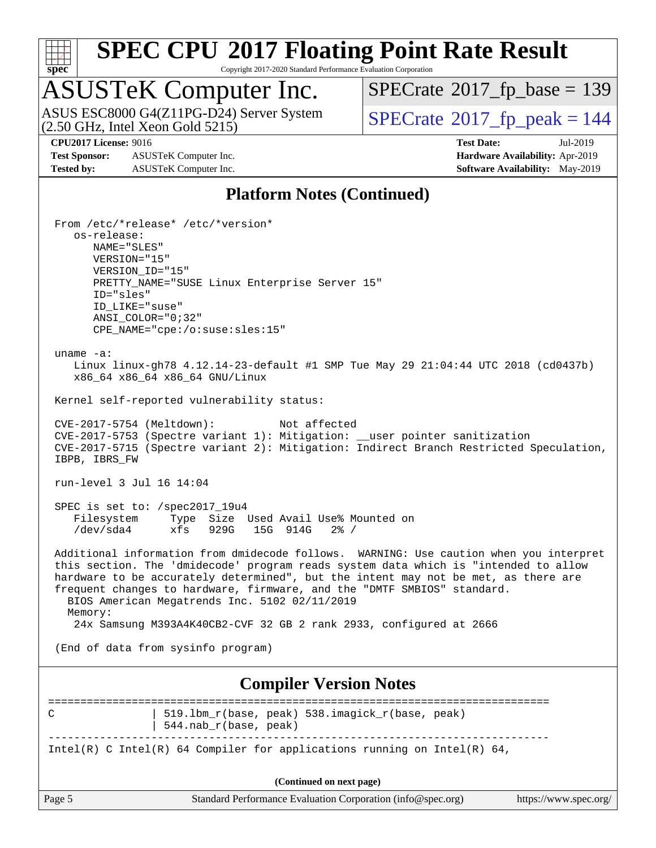

Copyright 2017-2020 Standard Performance Evaluation Corporation

## ASUSTeK Computer Inc.

ASUS ESC8000 G4(Z11PG-D24) Server System  $(2.50 \text{ GHz}, \text{ Intel Xeon Gold } 5215)$   $\big|$  [SPECrate](http://www.spec.org/auto/cpu2017/Docs/result-fields.html#SPECrate2017fppeak)®[2017\\_fp\\_peak = 1](http://www.spec.org/auto/cpu2017/Docs/result-fields.html#SPECrate2017fppeak)44

 $SPECrate$ <sup>®</sup>[2017\\_fp\\_base =](http://www.spec.org/auto/cpu2017/Docs/result-fields.html#SPECrate2017fpbase) 139

**[Test Sponsor:](http://www.spec.org/auto/cpu2017/Docs/result-fields.html#TestSponsor)** ASUSTeK Computer Inc. **[Hardware Availability:](http://www.spec.org/auto/cpu2017/Docs/result-fields.html#HardwareAvailability)** Apr-2019 **[Tested by:](http://www.spec.org/auto/cpu2017/Docs/result-fields.html#Testedby)** ASUSTeK Computer Inc. **[Software Availability:](http://www.spec.org/auto/cpu2017/Docs/result-fields.html#SoftwareAvailability)** May-2019

**[CPU2017 License:](http://www.spec.org/auto/cpu2017/Docs/result-fields.html#CPU2017License)** 9016 **[Test Date:](http://www.spec.org/auto/cpu2017/Docs/result-fields.html#TestDate)** Jul-2019

### **[Platform Notes \(Continued\)](http://www.spec.org/auto/cpu2017/Docs/result-fields.html#PlatformNotes)**

|                                            | From /etc/*release* /etc/*version*                                                                                                                            |                       |
|--------------------------------------------|---------------------------------------------------------------------------------------------------------------------------------------------------------------|-----------------------|
| os-release:<br>NAME="SLES"                 |                                                                                                                                                               |                       |
| VERSION="15"                               |                                                                                                                                                               |                       |
| VERSION_ID="15"                            |                                                                                                                                                               |                       |
|                                            | PRETTY_NAME="SUSE Linux Enterprise Server 15"                                                                                                                 |                       |
| ID="sles"                                  |                                                                                                                                                               |                       |
| ID_LIKE="suse"<br>$ANSI$ _COLOR=" $0:32$ " |                                                                                                                                                               |                       |
|                                            | CPE_NAME="cpe:/o:suse:sles:15"                                                                                                                                |                       |
| uname $-a$ :                               |                                                                                                                                                               |                       |
|                                            | Linux linux-gh78 4.12.14-23-default #1 SMP Tue May 29 21:04:44 UTC 2018 (cd0437b)                                                                             |                       |
|                                            | x86_64 x86_64 x86_64 GNU/Linux                                                                                                                                |                       |
|                                            | Kernel self-reported vulnerability status:                                                                                                                    |                       |
| CVE-2017-5754 (Meltdown):                  | Not affected                                                                                                                                                  |                       |
|                                            | CVE-2017-5753 (Spectre variant 1): Mitigation: __user pointer sanitization                                                                                    |                       |
| IBPB, IBRS_FW                              | CVE-2017-5715 (Spectre variant 2): Mitigation: Indirect Branch Restricted Speculation,                                                                        |                       |
|                                            |                                                                                                                                                               |                       |
| run-level 3 Jul 16 14:04                   |                                                                                                                                                               |                       |
| SPEC is set to: /spec2017_19u4             |                                                                                                                                                               |                       |
|                                            | Filesystem Type Size Used Avail Use% Mounted on                                                                                                               |                       |
| /dev/sda4                                  | xfs 929G 15G 914G<br>$2\frac{3}{2}$ /                                                                                                                         |                       |
|                                            | Additional information from dmidecode follows. WARNING: Use caution when you interpret                                                                        |                       |
|                                            | this section. The 'dmidecode' program reads system data which is "intended to allow                                                                           |                       |
|                                            | hardware to be accurately determined", but the intent may not be met, as there are<br>frequent changes to hardware, firmware, and the "DMTF SMBIOS" standard. |                       |
|                                            | BIOS American Megatrends Inc. 5102 02/11/2019                                                                                                                 |                       |
| Memory:                                    |                                                                                                                                                               |                       |
|                                            | 24x Samsung M393A4K40CB2-CVF 32 GB 2 rank 2933, configured at 2666                                                                                            |                       |
|                                            | (End of data from sysinfo program)                                                                                                                            |                       |
|                                            |                                                                                                                                                               |                       |
|                                            | <b>Compiler Version Notes</b>                                                                                                                                 |                       |
| С                                          | 519.1bm_r(base, peak) 538.imagick_r(base, peak)                                                                                                               |                       |
|                                            | 544.nab_r(base, peak)                                                                                                                                         |                       |
|                                            | Intel(R) C Intel(R) 64 Compiler for applications running on Intel(R) 64,                                                                                      |                       |
|                                            |                                                                                                                                                               |                       |
|                                            | (Continued on next page)                                                                                                                                      |                       |
| Page 5                                     | Standard Performance Evaluation Corporation (info@spec.org)                                                                                                   | https://www.spec.org/ |
|                                            |                                                                                                                                                               |                       |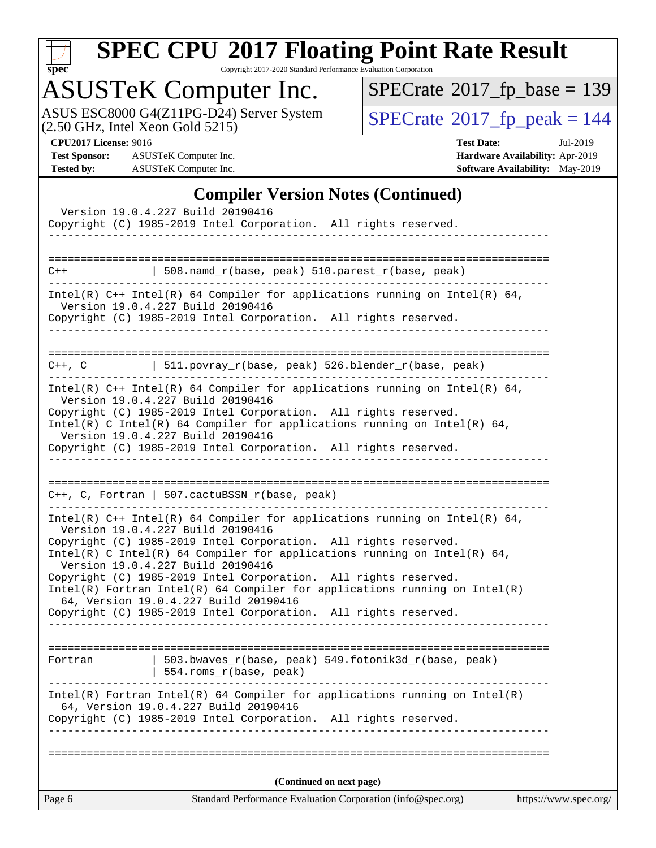

Copyright 2017-2020 Standard Performance Evaluation Corporation

## ASUSTeK Computer Inc.

ASUS ESC8000 G4(Z11PG-D24) Server System  $(2.50 \text{ GHz}, \text{ Intel Xeon Gold } 5215)$   $\big|$  [SPECrate](http://www.spec.org/auto/cpu2017/Docs/result-fields.html#SPECrate2017fppeak)®[2017\\_fp\\_peak = 1](http://www.spec.org/auto/cpu2017/Docs/result-fields.html#SPECrate2017fppeak)44

 $SPECrate$ <sup>®</sup>[2017\\_fp\\_base =](http://www.spec.org/auto/cpu2017/Docs/result-fields.html#SPECrate2017fpbase) 139

**[Test Sponsor:](http://www.spec.org/auto/cpu2017/Docs/result-fields.html#TestSponsor)** ASUSTeK Computer Inc. **[Hardware Availability:](http://www.spec.org/auto/cpu2017/Docs/result-fields.html#HardwareAvailability)** Apr-2019 **[Tested by:](http://www.spec.org/auto/cpu2017/Docs/result-fields.html#Testedby)** ASUSTeK Computer Inc. **[Software Availability:](http://www.spec.org/auto/cpu2017/Docs/result-fields.html#SoftwareAvailability)** May-2019

**[CPU2017 License:](http://www.spec.org/auto/cpu2017/Docs/result-fields.html#CPU2017License)** 9016 **[Test Date:](http://www.spec.org/auto/cpu2017/Docs/result-fields.html#TestDate)** Jul-2019

### **[Compiler Version Notes \(Continued\)](http://www.spec.org/auto/cpu2017/Docs/result-fields.html#CompilerVersionNotes)**

| Version 19.0.4.227 Build 20190416<br>Copyright (C) 1985-2019 Intel Corporation. All rights reserved.                                                                                                                                                                                                                                                                                                                                                                                                                                                                                        |                       |
|---------------------------------------------------------------------------------------------------------------------------------------------------------------------------------------------------------------------------------------------------------------------------------------------------------------------------------------------------------------------------------------------------------------------------------------------------------------------------------------------------------------------------------------------------------------------------------------------|-----------------------|
|                                                                                                                                                                                                                                                                                                                                                                                                                                                                                                                                                                                             |                       |
| 508.namd_r(base, peak) 510.parest_r(base, peak)<br>$C++$                                                                                                                                                                                                                                                                                                                                                                                                                                                                                                                                    |                       |
| Intel(R) $C++$ Intel(R) 64 Compiler for applications running on Intel(R) 64,<br>Version 19.0.4.227 Build 20190416<br>Copyright (C) 1985-2019 Intel Corporation. All rights reserved.                                                                                                                                                                                                                                                                                                                                                                                                        |                       |
| C++, C $ $ 511.povray_r(base, peak) 526.blender_r(base, peak)                                                                                                                                                                                                                                                                                                                                                                                                                                                                                                                               |                       |
| Intel(R) $C++$ Intel(R) 64 Compiler for applications running on Intel(R) 64,<br>Version 19.0.4.227 Build 20190416<br>Copyright (C) 1985-2019 Intel Corporation. All rights reserved.<br>Intel(R) C Intel(R) 64 Compiler for applications running on Intel(R) 64,<br>Version 19.0.4.227 Build 20190416<br>Copyright (C) 1985-2019 Intel Corporation. All rights reserved.                                                                                                                                                                                                                    |                       |
| $C++$ , C, Fortran   507.cactuBSSN_r(base, peak)<br>_____________________________                                                                                                                                                                                                                                                                                                                                                                                                                                                                                                           |                       |
| Intel(R) C++ Intel(R) 64 Compiler for applications running on Intel(R) 64,<br>Version 19.0.4.227 Build 20190416<br>Copyright (C) 1985-2019 Intel Corporation. All rights reserved.<br>Intel(R) C Intel(R) 64 Compiler for applications running on Intel(R) 64,<br>Version 19.0.4.227 Build 20190416<br>Copyright (C) 1985-2019 Intel Corporation. All rights reserved.<br>$Intel(R)$ Fortran Intel(R) 64 Compiler for applications running on Intel(R)<br>64, Version 19.0.4.227 Build 20190416<br>Copyright (C) 1985-2019 Intel Corporation. All rights reserved.<br>--------------------- |                       |
| $503.bwaves_r(base, peak)$ 549.fotonik3d_r(base, peak)<br>Fortran<br>554.roms_r(base, peak)                                                                                                                                                                                                                                                                                                                                                                                                                                                                                                 |                       |
| $Intel(R)$ Fortran Intel(R) 64 Compiler for applications running on Intel(R)<br>64, Version 19.0.4.227 Build 20190416<br>Copyright (C) 1985-2019 Intel Corporation. All rights reserved.<br>-------------------                                                                                                                                                                                                                                                                                                                                                                             |                       |
| (Continued on next page)                                                                                                                                                                                                                                                                                                                                                                                                                                                                                                                                                                    |                       |
| Standard Performance Evaluation Corporation (info@spec.org)<br>Page 6                                                                                                                                                                                                                                                                                                                                                                                                                                                                                                                       | https://www.spec.org/ |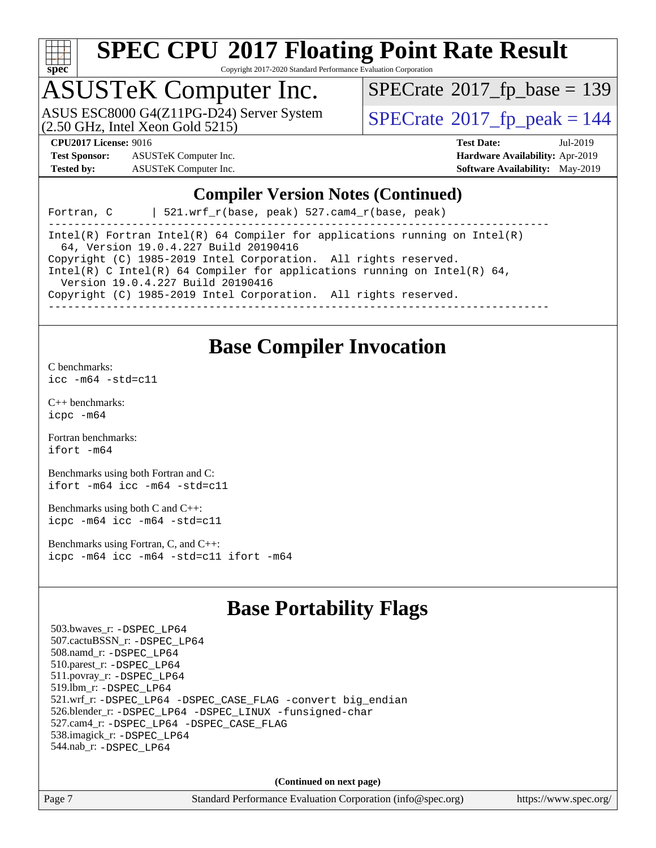

Copyright 2017-2020 Standard Performance Evaluation Corporation

# ASUSTeK Computer Inc.<br>ASUS ESC8000 G4(Z11PG-D24) Server System

(2.50 GHz, Intel Xeon Gold 5215)

 $SPECTate$ <sup>®</sup>[2017\\_fp\\_base =](http://www.spec.org/auto/cpu2017/Docs/result-fields.html#SPECrate2017fpbase) 139

 $SPECTate<sup>®</sup>2017<sub>fr</sub>peak =  $144$$ 

**[Test Sponsor:](http://www.spec.org/auto/cpu2017/Docs/result-fields.html#TestSponsor)** ASUSTeK Computer Inc. **[Hardware Availability:](http://www.spec.org/auto/cpu2017/Docs/result-fields.html#HardwareAvailability)** Apr-2019 **[Tested by:](http://www.spec.org/auto/cpu2017/Docs/result-fields.html#Testedby)** ASUSTeK Computer Inc. **[Software Availability:](http://www.spec.org/auto/cpu2017/Docs/result-fields.html#SoftwareAvailability)** May-2019

**[CPU2017 License:](http://www.spec.org/auto/cpu2017/Docs/result-fields.html#CPU2017License)** 9016 **[Test Date:](http://www.spec.org/auto/cpu2017/Docs/result-fields.html#TestDate)** Jul-2019

### **[Compiler Version Notes \(Continued\)](http://www.spec.org/auto/cpu2017/Docs/result-fields.html#CompilerVersionNotes)**

Fortran, C | 521.wrf\_r(base, peak) 527.cam4\_r(base, peak)

------------------------------------------------------------------------------ Intel(R) Fortran Intel(R) 64 Compiler for applications running on Intel(R) 64, Version 19.0.4.227 Build 20190416 Copyright (C) 1985-2019 Intel Corporation. All rights reserved. Intel(R) C Intel(R) 64 Compiler for applications running on Intel(R) 64, Version 19.0.4.227 Build 20190416 Copyright (C) 1985-2019 Intel Corporation. All rights reserved. ------------------------------------------------------------------------------

**[Base Compiler Invocation](http://www.spec.org/auto/cpu2017/Docs/result-fields.html#BaseCompilerInvocation)**

[C benchmarks](http://www.spec.org/auto/cpu2017/Docs/result-fields.html#Cbenchmarks):

[icc -m64 -std=c11](http://www.spec.org/cpu2017/results/res2019q3/cpu2017-20190722-16306.flags.html#user_CCbase_intel_icc_64bit_c11_33ee0cdaae7deeeab2a9725423ba97205ce30f63b9926c2519791662299b76a0318f32ddfffdc46587804de3178b4f9328c46fa7c2b0cd779d7a61945c91cd35)

[C++ benchmarks:](http://www.spec.org/auto/cpu2017/Docs/result-fields.html#CXXbenchmarks) [icpc -m64](http://www.spec.org/cpu2017/results/res2019q3/cpu2017-20190722-16306.flags.html#user_CXXbase_intel_icpc_64bit_4ecb2543ae3f1412ef961e0650ca070fec7b7afdcd6ed48761b84423119d1bf6bdf5cad15b44d48e7256388bc77273b966e5eb805aefd121eb22e9299b2ec9d9)

[Fortran benchmarks](http://www.spec.org/auto/cpu2017/Docs/result-fields.html#Fortranbenchmarks): [ifort -m64](http://www.spec.org/cpu2017/results/res2019q3/cpu2017-20190722-16306.flags.html#user_FCbase_intel_ifort_64bit_24f2bb282fbaeffd6157abe4f878425411749daecae9a33200eee2bee2fe76f3b89351d69a8130dd5949958ce389cf37ff59a95e7a40d588e8d3a57e0c3fd751)

[Benchmarks using both Fortran and C](http://www.spec.org/auto/cpu2017/Docs/result-fields.html#BenchmarksusingbothFortranandC): [ifort -m64](http://www.spec.org/cpu2017/results/res2019q3/cpu2017-20190722-16306.flags.html#user_CC_FCbase_intel_ifort_64bit_24f2bb282fbaeffd6157abe4f878425411749daecae9a33200eee2bee2fe76f3b89351d69a8130dd5949958ce389cf37ff59a95e7a40d588e8d3a57e0c3fd751) [icc -m64 -std=c11](http://www.spec.org/cpu2017/results/res2019q3/cpu2017-20190722-16306.flags.html#user_CC_FCbase_intel_icc_64bit_c11_33ee0cdaae7deeeab2a9725423ba97205ce30f63b9926c2519791662299b76a0318f32ddfffdc46587804de3178b4f9328c46fa7c2b0cd779d7a61945c91cd35)

[Benchmarks using both C and C++](http://www.spec.org/auto/cpu2017/Docs/result-fields.html#BenchmarksusingbothCandCXX): [icpc -m64](http://www.spec.org/cpu2017/results/res2019q3/cpu2017-20190722-16306.flags.html#user_CC_CXXbase_intel_icpc_64bit_4ecb2543ae3f1412ef961e0650ca070fec7b7afdcd6ed48761b84423119d1bf6bdf5cad15b44d48e7256388bc77273b966e5eb805aefd121eb22e9299b2ec9d9) [icc -m64 -std=c11](http://www.spec.org/cpu2017/results/res2019q3/cpu2017-20190722-16306.flags.html#user_CC_CXXbase_intel_icc_64bit_c11_33ee0cdaae7deeeab2a9725423ba97205ce30f63b9926c2519791662299b76a0318f32ddfffdc46587804de3178b4f9328c46fa7c2b0cd779d7a61945c91cd35)

[Benchmarks using Fortran, C, and C++:](http://www.spec.org/auto/cpu2017/Docs/result-fields.html#BenchmarksusingFortranCandCXX) [icpc -m64](http://www.spec.org/cpu2017/results/res2019q3/cpu2017-20190722-16306.flags.html#user_CC_CXX_FCbase_intel_icpc_64bit_4ecb2543ae3f1412ef961e0650ca070fec7b7afdcd6ed48761b84423119d1bf6bdf5cad15b44d48e7256388bc77273b966e5eb805aefd121eb22e9299b2ec9d9) [icc -m64 -std=c11](http://www.spec.org/cpu2017/results/res2019q3/cpu2017-20190722-16306.flags.html#user_CC_CXX_FCbase_intel_icc_64bit_c11_33ee0cdaae7deeeab2a9725423ba97205ce30f63b9926c2519791662299b76a0318f32ddfffdc46587804de3178b4f9328c46fa7c2b0cd779d7a61945c91cd35) [ifort -m64](http://www.spec.org/cpu2017/results/res2019q3/cpu2017-20190722-16306.flags.html#user_CC_CXX_FCbase_intel_ifort_64bit_24f2bb282fbaeffd6157abe4f878425411749daecae9a33200eee2bee2fe76f3b89351d69a8130dd5949958ce389cf37ff59a95e7a40d588e8d3a57e0c3fd751)

### **[Base Portability Flags](http://www.spec.org/auto/cpu2017/Docs/result-fields.html#BasePortabilityFlags)**

 503.bwaves\_r: [-DSPEC\\_LP64](http://www.spec.org/cpu2017/results/res2019q3/cpu2017-20190722-16306.flags.html#suite_basePORTABILITY503_bwaves_r_DSPEC_LP64) 507.cactuBSSN\_r: [-DSPEC\\_LP64](http://www.spec.org/cpu2017/results/res2019q3/cpu2017-20190722-16306.flags.html#suite_basePORTABILITY507_cactuBSSN_r_DSPEC_LP64) 508.namd\_r: [-DSPEC\\_LP64](http://www.spec.org/cpu2017/results/res2019q3/cpu2017-20190722-16306.flags.html#suite_basePORTABILITY508_namd_r_DSPEC_LP64) 510.parest\_r: [-DSPEC\\_LP64](http://www.spec.org/cpu2017/results/res2019q3/cpu2017-20190722-16306.flags.html#suite_basePORTABILITY510_parest_r_DSPEC_LP64) 511.povray\_r: [-DSPEC\\_LP64](http://www.spec.org/cpu2017/results/res2019q3/cpu2017-20190722-16306.flags.html#suite_basePORTABILITY511_povray_r_DSPEC_LP64) 519.lbm\_r: [-DSPEC\\_LP64](http://www.spec.org/cpu2017/results/res2019q3/cpu2017-20190722-16306.flags.html#suite_basePORTABILITY519_lbm_r_DSPEC_LP64) 521.wrf\_r: [-DSPEC\\_LP64](http://www.spec.org/cpu2017/results/res2019q3/cpu2017-20190722-16306.flags.html#suite_basePORTABILITY521_wrf_r_DSPEC_LP64) [-DSPEC\\_CASE\\_FLAG](http://www.spec.org/cpu2017/results/res2019q3/cpu2017-20190722-16306.flags.html#b521.wrf_r_baseCPORTABILITY_DSPEC_CASE_FLAG) [-convert big\\_endian](http://www.spec.org/cpu2017/results/res2019q3/cpu2017-20190722-16306.flags.html#user_baseFPORTABILITY521_wrf_r_convert_big_endian_c3194028bc08c63ac5d04de18c48ce6d347e4e562e8892b8bdbdc0214820426deb8554edfa529a3fb25a586e65a3d812c835984020483e7e73212c4d31a38223) 526.blender\_r: [-DSPEC\\_LP64](http://www.spec.org/cpu2017/results/res2019q3/cpu2017-20190722-16306.flags.html#suite_basePORTABILITY526_blender_r_DSPEC_LP64) [-DSPEC\\_LINUX](http://www.spec.org/cpu2017/results/res2019q3/cpu2017-20190722-16306.flags.html#b526.blender_r_baseCPORTABILITY_DSPEC_LINUX) [-funsigned-char](http://www.spec.org/cpu2017/results/res2019q3/cpu2017-20190722-16306.flags.html#user_baseCPORTABILITY526_blender_r_force_uchar_40c60f00ab013830e2dd6774aeded3ff59883ba5a1fc5fc14077f794d777847726e2a5858cbc7672e36e1b067e7e5c1d9a74f7176df07886a243d7cc18edfe67) 527.cam4\_r: [-DSPEC\\_LP64](http://www.spec.org/cpu2017/results/res2019q3/cpu2017-20190722-16306.flags.html#suite_basePORTABILITY527_cam4_r_DSPEC_LP64) [-DSPEC\\_CASE\\_FLAG](http://www.spec.org/cpu2017/results/res2019q3/cpu2017-20190722-16306.flags.html#b527.cam4_r_baseCPORTABILITY_DSPEC_CASE_FLAG) 538.imagick\_r: [-DSPEC\\_LP64](http://www.spec.org/cpu2017/results/res2019q3/cpu2017-20190722-16306.flags.html#suite_basePORTABILITY538_imagick_r_DSPEC_LP64) 544.nab\_r: [-DSPEC\\_LP64](http://www.spec.org/cpu2017/results/res2019q3/cpu2017-20190722-16306.flags.html#suite_basePORTABILITY544_nab_r_DSPEC_LP64)

**(Continued on next page)**

Page 7 Standard Performance Evaluation Corporation [\(info@spec.org\)](mailto:info@spec.org) <https://www.spec.org/>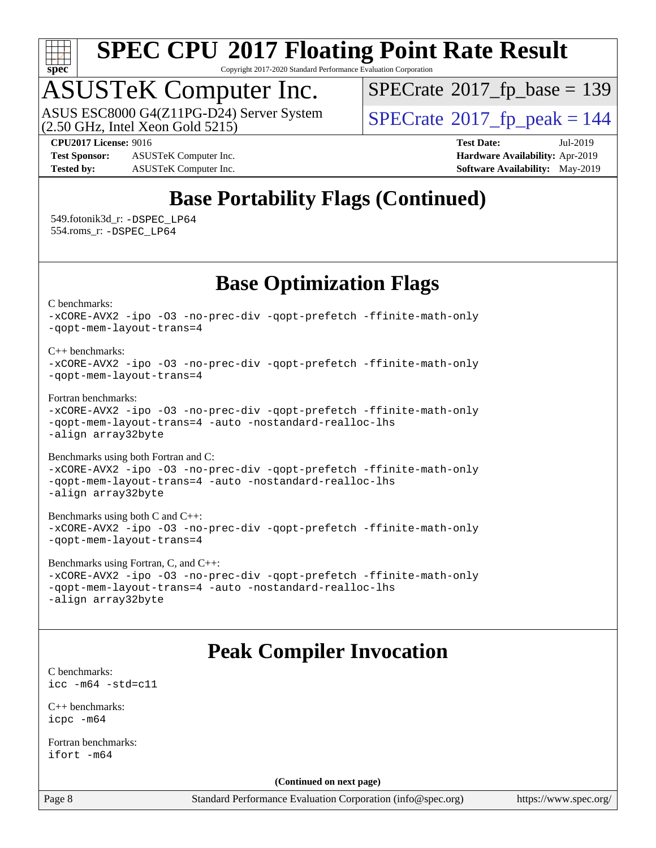

Copyright 2017-2020 Standard Performance Evaluation Corporation

# ASUSTeK Computer Inc.<br>ASUS ESC8000 G4(Z11PG-D24) Server System

 $(2.50$  GHz, Intel Xeon Gold  $5215)$ 

 $SPECTate$ <sup>®</sup>[2017\\_fp\\_base =](http://www.spec.org/auto/cpu2017/Docs/result-fields.html#SPECrate2017fpbase) 139

**[Test Sponsor:](http://www.spec.org/auto/cpu2017/Docs/result-fields.html#TestSponsor)** ASUSTeK Computer Inc. **[Hardware Availability:](http://www.spec.org/auto/cpu2017/Docs/result-fields.html#HardwareAvailability)** Apr-2019 **[Tested by:](http://www.spec.org/auto/cpu2017/Docs/result-fields.html#Testedby)** ASUSTeK Computer Inc. **[Software Availability:](http://www.spec.org/auto/cpu2017/Docs/result-fields.html#SoftwareAvailability)** May-2019

 $SPECTate<sup>®</sup>2017<sub>fr</sub>peak =  $144$$ 

**[CPU2017 License:](http://www.spec.org/auto/cpu2017/Docs/result-fields.html#CPU2017License)** 9016 **[Test Date:](http://www.spec.org/auto/cpu2017/Docs/result-fields.html#TestDate)** Jul-2019

### **[Base Portability Flags \(Continued\)](http://www.spec.org/auto/cpu2017/Docs/result-fields.html#BasePortabilityFlags)**

 549.fotonik3d\_r: [-DSPEC\\_LP64](http://www.spec.org/cpu2017/results/res2019q3/cpu2017-20190722-16306.flags.html#suite_basePORTABILITY549_fotonik3d_r_DSPEC_LP64) 554.roms\_r: [-DSPEC\\_LP64](http://www.spec.org/cpu2017/results/res2019q3/cpu2017-20190722-16306.flags.html#suite_basePORTABILITY554_roms_r_DSPEC_LP64)

### **[Base Optimization Flags](http://www.spec.org/auto/cpu2017/Docs/result-fields.html#BaseOptimizationFlags)**

[C benchmarks](http://www.spec.org/auto/cpu2017/Docs/result-fields.html#Cbenchmarks):

```
-xCORE-AVX2 -ipo -O3 -no-prec-div -qopt-prefetch -ffinite-math-only
-qopt-mem-layout-trans=4
C++ benchmarks: 
-xCORE-AVX2 -ipo -O3 -no-prec-div -qopt-prefetch -ffinite-math-only
-qopt-mem-layout-trans=4
Fortran benchmarks: 
-xCORE-AVX2 -ipo -O3 -no-prec-div -qopt-prefetch -ffinite-math-only
-qopt-mem-layout-trans=4 -auto -nostandard-realloc-lhs
-align array32byte
Benchmarks using both Fortran and C: 
-xCORE-AVX2 -ipo -O3 -no-prec-div -qopt-prefetch -ffinite-math-only
-qopt-mem-layout-trans=4 -auto -nostandard-realloc-lhs
-align array32byte
Benchmarks using both C and C++: 
-xCORE-AVX2 -ipo -O3 -no-prec-div -qopt-prefetch -ffinite-math-only
-qopt-mem-layout-trans=4
Benchmarks using Fortran, C, and C++: 
-xCORE-AVX2 -ipo -O3 -no-prec-div -qopt-prefetch -ffinite-math-only
-qopt-mem-layout-trans=4 -auto -nostandard-realloc-lhs
-align array32byte
```
### **[Peak Compiler Invocation](http://www.spec.org/auto/cpu2017/Docs/result-fields.html#PeakCompilerInvocation)**

[C benchmarks](http://www.spec.org/auto/cpu2017/Docs/result-fields.html#Cbenchmarks): [icc -m64 -std=c11](http://www.spec.org/cpu2017/results/res2019q3/cpu2017-20190722-16306.flags.html#user_CCpeak_intel_icc_64bit_c11_33ee0cdaae7deeeab2a9725423ba97205ce30f63b9926c2519791662299b76a0318f32ddfffdc46587804de3178b4f9328c46fa7c2b0cd779d7a61945c91cd35)

[C++ benchmarks:](http://www.spec.org/auto/cpu2017/Docs/result-fields.html#CXXbenchmarks) [icpc -m64](http://www.spec.org/cpu2017/results/res2019q3/cpu2017-20190722-16306.flags.html#user_CXXpeak_intel_icpc_64bit_4ecb2543ae3f1412ef961e0650ca070fec7b7afdcd6ed48761b84423119d1bf6bdf5cad15b44d48e7256388bc77273b966e5eb805aefd121eb22e9299b2ec9d9)

[Fortran benchmarks](http://www.spec.org/auto/cpu2017/Docs/result-fields.html#Fortranbenchmarks): [ifort -m64](http://www.spec.org/cpu2017/results/res2019q3/cpu2017-20190722-16306.flags.html#user_FCpeak_intel_ifort_64bit_24f2bb282fbaeffd6157abe4f878425411749daecae9a33200eee2bee2fe76f3b89351d69a8130dd5949958ce389cf37ff59a95e7a40d588e8d3a57e0c3fd751)

**(Continued on next page)**

Page 8 Standard Performance Evaluation Corporation [\(info@spec.org\)](mailto:info@spec.org) <https://www.spec.org/>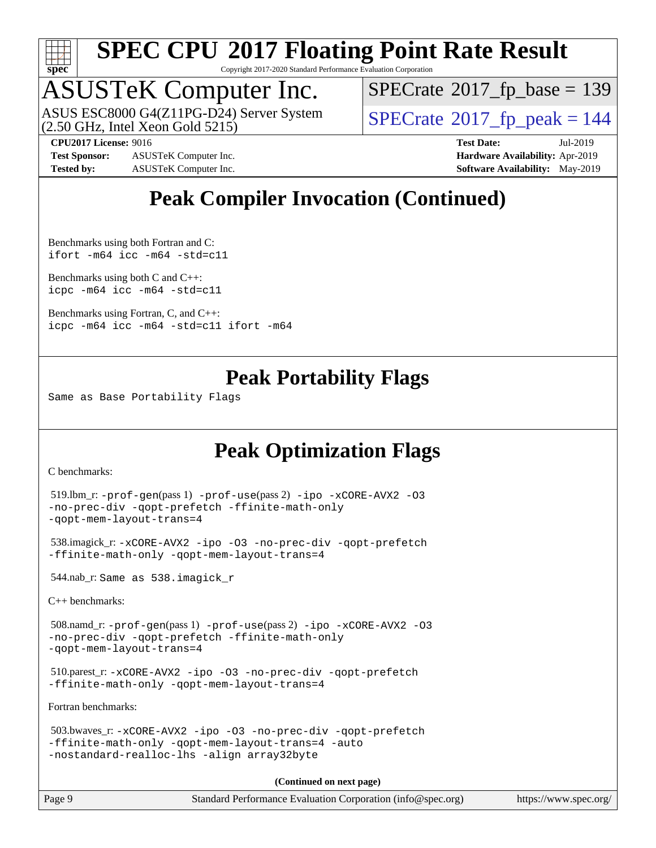

Copyright 2017-2020 Standard Performance Evaluation Corporation

## ASUSTeK Computer Inc.

(2.50 GHz, Intel Xeon Gold 5215) ASUS ESC8000 G4(Z11PG-D24) Server System  $SPECrate@2017_fp\_peak = 144$  $SPECrate@2017_fp\_peak = 144$ 

 $SPECTate$ <sup>®</sup>[2017\\_fp\\_base =](http://www.spec.org/auto/cpu2017/Docs/result-fields.html#SPECrate2017fpbase) 139

**[Test Sponsor:](http://www.spec.org/auto/cpu2017/Docs/result-fields.html#TestSponsor)** ASUSTeK Computer Inc. **[Hardware Availability:](http://www.spec.org/auto/cpu2017/Docs/result-fields.html#HardwareAvailability)** Apr-2019 **[Tested by:](http://www.spec.org/auto/cpu2017/Docs/result-fields.html#Testedby)** ASUSTeK Computer Inc. **[Software Availability:](http://www.spec.org/auto/cpu2017/Docs/result-fields.html#SoftwareAvailability)** May-2019

**[CPU2017 License:](http://www.spec.org/auto/cpu2017/Docs/result-fields.html#CPU2017License)** 9016 **[Test Date:](http://www.spec.org/auto/cpu2017/Docs/result-fields.html#TestDate)** Jul-2019

### **[Peak Compiler Invocation \(Continued\)](http://www.spec.org/auto/cpu2017/Docs/result-fields.html#PeakCompilerInvocation)**

[Benchmarks using both Fortran and C](http://www.spec.org/auto/cpu2017/Docs/result-fields.html#BenchmarksusingbothFortranandC): [ifort -m64](http://www.spec.org/cpu2017/results/res2019q3/cpu2017-20190722-16306.flags.html#user_CC_FCpeak_intel_ifort_64bit_24f2bb282fbaeffd6157abe4f878425411749daecae9a33200eee2bee2fe76f3b89351d69a8130dd5949958ce389cf37ff59a95e7a40d588e8d3a57e0c3fd751) [icc -m64 -std=c11](http://www.spec.org/cpu2017/results/res2019q3/cpu2017-20190722-16306.flags.html#user_CC_FCpeak_intel_icc_64bit_c11_33ee0cdaae7deeeab2a9725423ba97205ce30f63b9926c2519791662299b76a0318f32ddfffdc46587804de3178b4f9328c46fa7c2b0cd779d7a61945c91cd35)

[Benchmarks using both C and C++](http://www.spec.org/auto/cpu2017/Docs/result-fields.html#BenchmarksusingbothCandCXX): [icpc -m64](http://www.spec.org/cpu2017/results/res2019q3/cpu2017-20190722-16306.flags.html#user_CC_CXXpeak_intel_icpc_64bit_4ecb2543ae3f1412ef961e0650ca070fec7b7afdcd6ed48761b84423119d1bf6bdf5cad15b44d48e7256388bc77273b966e5eb805aefd121eb22e9299b2ec9d9) [icc -m64 -std=c11](http://www.spec.org/cpu2017/results/res2019q3/cpu2017-20190722-16306.flags.html#user_CC_CXXpeak_intel_icc_64bit_c11_33ee0cdaae7deeeab2a9725423ba97205ce30f63b9926c2519791662299b76a0318f32ddfffdc46587804de3178b4f9328c46fa7c2b0cd779d7a61945c91cd35)

[Benchmarks using Fortran, C, and C++:](http://www.spec.org/auto/cpu2017/Docs/result-fields.html#BenchmarksusingFortranCandCXX) [icpc -m64](http://www.spec.org/cpu2017/results/res2019q3/cpu2017-20190722-16306.flags.html#user_CC_CXX_FCpeak_intel_icpc_64bit_4ecb2543ae3f1412ef961e0650ca070fec7b7afdcd6ed48761b84423119d1bf6bdf5cad15b44d48e7256388bc77273b966e5eb805aefd121eb22e9299b2ec9d9) [icc -m64 -std=c11](http://www.spec.org/cpu2017/results/res2019q3/cpu2017-20190722-16306.flags.html#user_CC_CXX_FCpeak_intel_icc_64bit_c11_33ee0cdaae7deeeab2a9725423ba97205ce30f63b9926c2519791662299b76a0318f32ddfffdc46587804de3178b4f9328c46fa7c2b0cd779d7a61945c91cd35) [ifort -m64](http://www.spec.org/cpu2017/results/res2019q3/cpu2017-20190722-16306.flags.html#user_CC_CXX_FCpeak_intel_ifort_64bit_24f2bb282fbaeffd6157abe4f878425411749daecae9a33200eee2bee2fe76f3b89351d69a8130dd5949958ce389cf37ff59a95e7a40d588e8d3a57e0c3fd751)

### **[Peak Portability Flags](http://www.spec.org/auto/cpu2017/Docs/result-fields.html#PeakPortabilityFlags)**

Same as Base Portability Flags

### **[Peak Optimization Flags](http://www.spec.org/auto/cpu2017/Docs/result-fields.html#PeakOptimizationFlags)**

[C benchmarks](http://www.spec.org/auto/cpu2017/Docs/result-fields.html#Cbenchmarks):

```
 519.lbm_r: -prof-gen(pass 1) -prof-use(pass 2) -ipo -xCORE-AVX2 -O3
-no-prec-div -qopt-prefetch -ffinite-math-only
-qopt-mem-layout-trans=4
```

```
 538.imagick_r: -xCORE-AVX2 -ipo -O3 -no-prec-div -qopt-prefetch
-ffinite-math-only -qopt-mem-layout-trans=4
```
544.nab\_r: Same as 538.imagick\_r

[C++ benchmarks:](http://www.spec.org/auto/cpu2017/Docs/result-fields.html#CXXbenchmarks)

```
 508.namd_r: -prof-gen(pass 1) -prof-use(pass 2) -ipo -xCORE-AVX2 -O3
-no-prec-div -qopt-prefetch -ffinite-math-only
-qopt-mem-layout-trans=4
```

```
 510.parest_r: -xCORE-AVX2 -ipo -O3 -no-prec-div -qopt-prefetch
-ffinite-math-only -qopt-mem-layout-trans=4
```
[Fortran benchmarks](http://www.spec.org/auto/cpu2017/Docs/result-fields.html#Fortranbenchmarks):

```
 503.bwaves_r: -xCORE-AVX2 -ipo -O3 -no-prec-div -qopt-prefetch
-ffinite-math-only -qopt-mem-layout-trans=4 -auto
-nostandard-realloc-lhs -align array32byte
```
**(Continued on next page)**